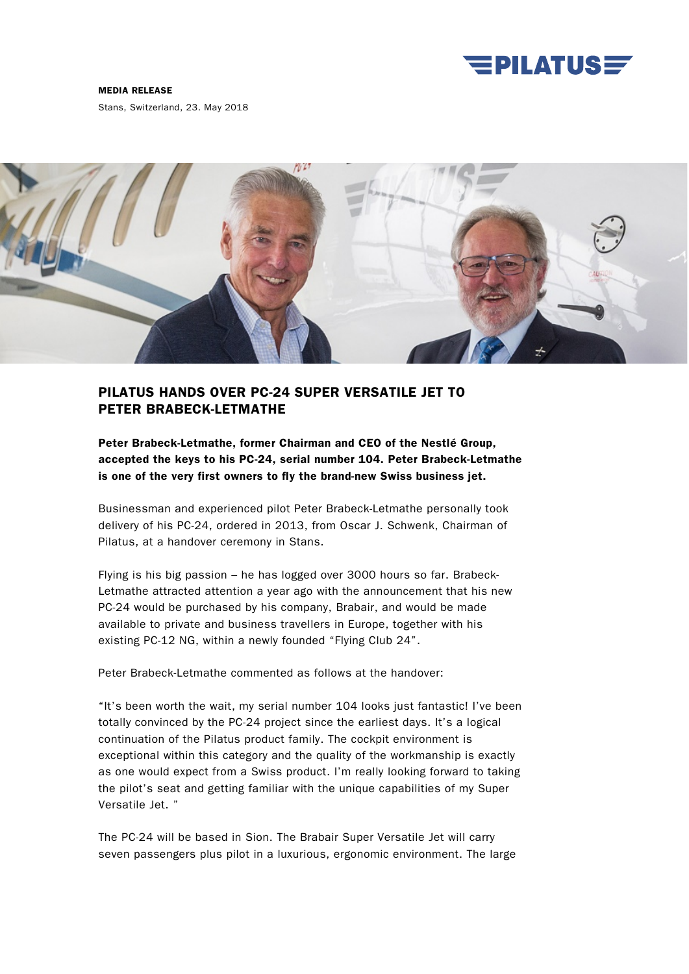

## MEDIA RELEASE

Stans, Switzerland, 23. May 2018



## PILATUS HANDS OVER PC-24 SUPER VERSATILE JET TO PETER BRABECK-LETMATHE

Peter Brabeck-Letmathe, former Chairman and CEO of the Nestlé Group, accepted the keys to his PC-24, serial number 104. Peter Brabeck-Letmathe is one of the very first owners to fly the brand-new Swiss business jet.

Businessman and experienced pilot Peter Brabeck-Letmathe personally took delivery of his PC-24, ordered in 2013, from Oscar J. Schwenk, Chairman of Pilatus, at a handover ceremony in Stans.

Flying is his big passion – he has logged over 3000 hours so far. Brabeck-Letmathe attracted attention a year ago with the announcement that his new PC-24 would be purchased by his company, Brabair, and would be made available to private and business travellers in Europe, together with his existing PC-12 NG, within a newly founded "Flying Club 24".

Peter Brabeck-Letmathe commented as follows at the handover:

"It's been worth the wait, my serial number 104 looks just fantastic! I've been totally convinced by the PC-24 project since the earliest days. It's a logical continuation of the Pilatus product family. The cockpit environment is exceptional within this category and the quality of the workmanship is exactly as one would expect from a Swiss product. I'm really looking forward to taking the pilot's seat and getting familiar with the unique capabilities of my Super Versatile Jet. "

The PC-24 will be based in Sion. The Brabair Super Versatile Jet will carry seven passengers plus pilot in a luxurious, ergonomic environment. The large